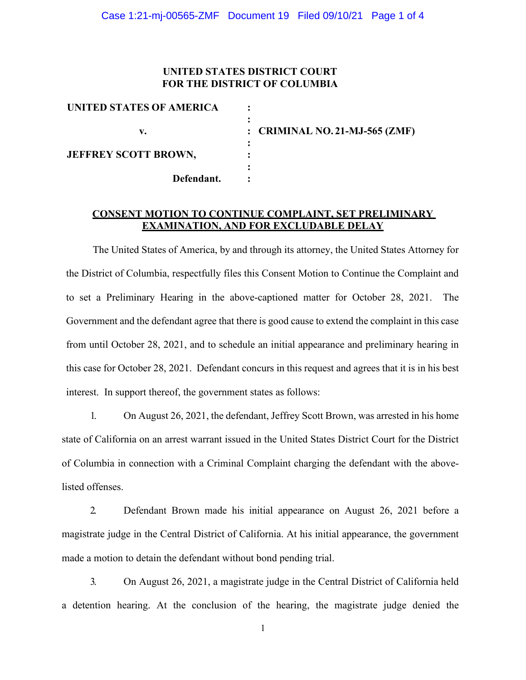### **UNITED STATES DISTRICT COURT FOR THE DISTRICT OF COLUMBIA**

| UNITED STATES OF AMERICA    |                                |
|-----------------------------|--------------------------------|
|                             |                                |
| v.                          | : CRIMINAL NO. 21-MJ-565 (ZMF) |
|                             |                                |
| <b>JEFFREY SCOTT BROWN,</b> |                                |
|                             |                                |
| Defendant.                  |                                |

## **CONSENT MOTION TO CONTINUE COMPLAINT, SET PRELIMINARY EXAMINATION, AND FOR EXCLUDABLE DELAY**

The United States of America, by and through its attorney, the United States Attorney for the District of Columbia, respectfully files this Consent Motion to Continue the Complaint and to set a Preliminary Hearing in the above-captioned matter for October 28, 2021. The Government and the defendant agree that there is good cause to extend the complaint in this case from until October 28, 2021, and to schedule an initial appearance and preliminary hearing in this case for October 28, 2021. Defendant concurs in this request and agrees that it is in his best interest. In support thereof, the government states as follows:

1. On August 26, 2021, the defendant, Jeffrey Scott Brown, was arrested in his home state of California on an arrest warrant issued in the United States District Court for the District of Columbia in connection with a Criminal Complaint charging the defendant with the abovelisted offenses.

2. Defendant Brown made his initial appearance on August 26, 2021 before a magistrate judge in the Central District of California. At his initial appearance, the government made a motion to detain the defendant without bond pending trial.

3. On August 26, 2021, a magistrate judge in the Central District of California held a detention hearing. At the conclusion of the hearing, the magistrate judge denied the

1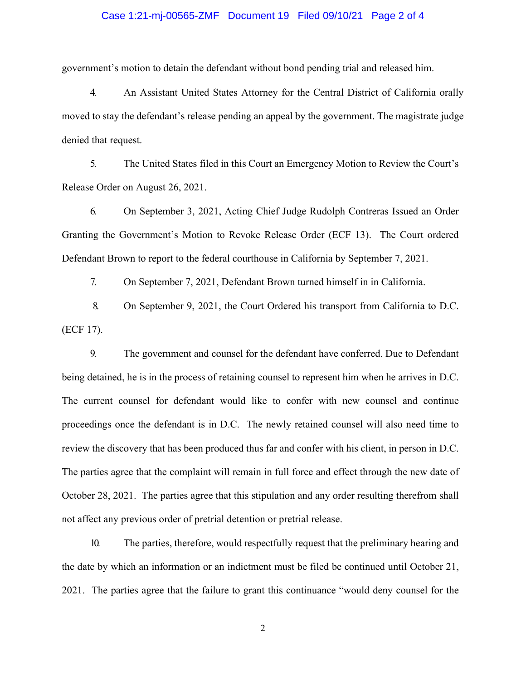#### Case 1:21-mj-00565-ZMF Document 19 Filed 09/10/21 Page 2 of 4

government's motion to detain the defendant without bond pending trial and released him.

4. An Assistant United States Attorney for the Central District of California orally moved to stay the defendant's release pending an appeal by the government. The magistrate judge denied that request.

5. The United States filed in this Court an Emergency Motion to Review the Court's Release Order on August 26, 2021.

6. On September 3, 2021, Acting Chief Judge Rudolph Contreras Issued an Order Granting the Government's Motion to Revoke Release Order (ECF 13). The Court ordered Defendant Brown to report to the federal courthouse in California by September 7, 2021.

7. On September 7, 2021, Defendant Brown turned himself in in California.

8. On September 9, 2021, the Court Ordered his transport from California to D.C. (ECF 17).

9. The government and counsel for the defendant have conferred. Due to Defendant being detained, he is in the process of retaining counsel to represent him when he arrives in D.C. The current counsel for defendant would like to confer with new counsel and continue proceedings once the defendant is in D.C. The newly retained counsel will also need time to review the discovery that has been produced thus far and confer with his client, in person in D.C. The parties agree that the complaint will remain in full force and effect through the new date of October 28, 2021. The parties agree that this stipulation and any order resulting therefrom shall not affect any previous order of pretrial detention or pretrial release.

10. The parties, therefore, would respectfully request that the preliminary hearing and the date by which an information or an indictment must be filed be continued until October 21, 2021. The parties agree that the failure to grant this continuance "would deny counsel for the

2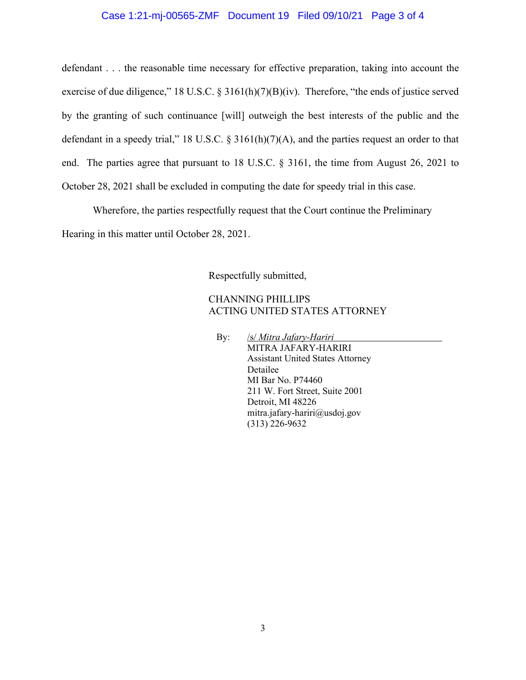#### Case 1:21-mj-00565-ZMF Document 19 Filed 09/10/21 Page 3 of 4

defendant . . . the reasonable time necessary for effective preparation, taking into account the exercise of due diligence," 18 U.S.C. § 3161(h)(7)(B)(iv). Therefore, "the ends of justice served by the granting of such continuance [will] outweigh the best interests of the public and the defendant in a speedy trial," 18 U.S.C. § 3161(h)(7)(A), and the parties request an order to that end. The parties agree that pursuant to 18 U.S.C. § 3161, the time from August 26, 2021 to October 28, 2021 shall be excluded in computing the date for speedy trial in this case.

Wherefore, the parties respectfully request that the Court continue the Preliminary Hearing in this matter until October 28, 2021.

Respectfully submitted,

## CHANNING PHILLIPS ACTING UNITED STATES ATTORNEY

By: /s/ *Mitra Jafary-Hariri* MITRA JAFARY-HARIRI Assistant United States Attorney Detailee MI Bar No. P74460 211 W. Fort Street, Suite 2001 Detroit, MI 48226 mitra.jafary-hariri@usdoj.gov (313) 226-9632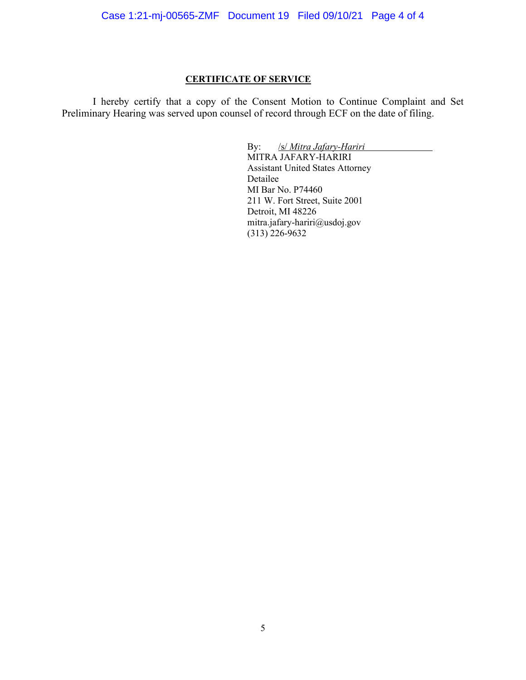# **CERTIFICATE OF SERVICE**

I hereby certify that a copy of the Consent Motion to Continue Complaint and Set Preliminary Hearing was served upon counsel of record through ECF on the date of filing.

> By: /s/ *Mitra Jafary-Hariri* MITRA JAFARY-HARIRI Assistant United States Attorney Detailee MI Bar No. P74460 211 W. Fort Street, Suite 2001 Detroit, MI 48226 mitra.jafary-hariri@usdoj.gov  $(313)$  226-9632